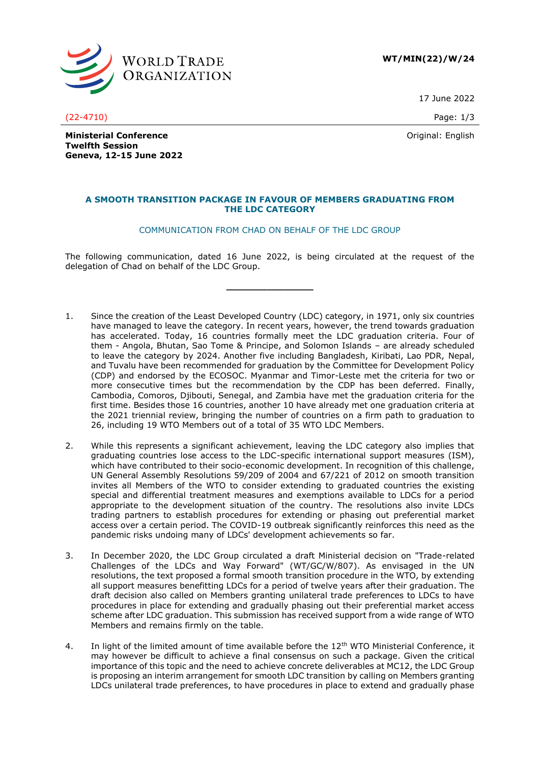

**WT/MIN(22)/W/24**

17 June 2022

(22-4710) Page: 1/3

Original: English

**Ministerial Conference Twelfth Session Geneva, 12-15 June 2022**

# **A SMOOTH TRANSITION PACKAGE IN FAVOUR OF MEMBERS GRADUATING FROM THE LDC CATEGORY**

# COMMUNICATION FROM CHAD ON BEHALF OF THE LDC GROUP

The following communication, dated 16 June 2022, is being circulated at the request of the delegation of Chad on behalf of the LDC Group.

**\_\_\_\_\_\_\_\_\_\_\_\_\_\_\_**

- 1. Since the creation of the Least Developed Country (LDC) category, in 1971, only six countries have managed to leave the category. In recent years, however, the trend towards graduation has accelerated. Today, 16 countries formally meet the LDC graduation criteria. Four of them - Angola, Bhutan, Sao Tome & Principe, and Solomon Islands – are already scheduled to leave the category by 2024. Another five including Bangladesh, Kiribati, Lao PDR, Nepal, and Tuvalu have been recommended for graduation by the Committee for Development Policy (CDP) and endorsed by the ECOSOC. Myanmar and Timor-Leste met the criteria for two or more consecutive times but the recommendation by the CDP has been deferred. Finally, Cambodia, Comoros, Djibouti, Senegal, and Zambia have met the graduation criteria for the first time. Besides those 16 countries, another 10 have already met one graduation criteria at the 2021 triennial review, bringing the number of countries on a firm path to graduation to 26, including 19 WTO Members out of a total of 35 WTO LDC Members.
- 2. While this represents a significant achievement, leaving the LDC category also implies that graduating countries lose access to the LDC-specific international support measures (ISM), which have contributed to their socio-economic development. In recognition of this challenge, UN General Assembly Resolutions 59/209 of 2004 and 67/221 of 2012 on smooth transition invites all Members of the WTO to consider extending to graduated countries the existing special and differential treatment measures and exemptions available to LDCs for a period appropriate to the development situation of the country. The resolutions also invite LDCs trading partners to establish procedures for extending or phasing out preferential market access over a certain period. The COVID-19 outbreak significantly reinforces this need as the pandemic risks undoing many of LDCs' development achievements so far.
- 3. In December 2020, the LDC Group circulated a draft Ministerial decision on "Trade-related Challenges of the LDCs and Way Forward" (WT/GC/W/807). As envisaged in the UN resolutions, the text proposed a formal smooth transition procedure in the WTO, by extending all support measures benefitting LDCs for a period of twelve years after their graduation. The draft decision also called on Members granting unilateral trade preferences to LDCs to have procedures in place for extending and gradually phasing out their preferential market access scheme after LDC graduation. This submission has received support from a wide range of WTO Members and remains firmly on the table.
- 4. In light of the limited amount of time available before the 12<sup>th</sup> WTO Ministerial Conference, it may however be difficult to achieve a final consensus on such a package. Given the critical importance of this topic and the need to achieve concrete deliverables at MC12, the LDC Group is proposing an interim arrangement for smooth LDC transition by calling on Members granting LDCs unilateral trade preferences, to have procedures in place to extend and gradually phase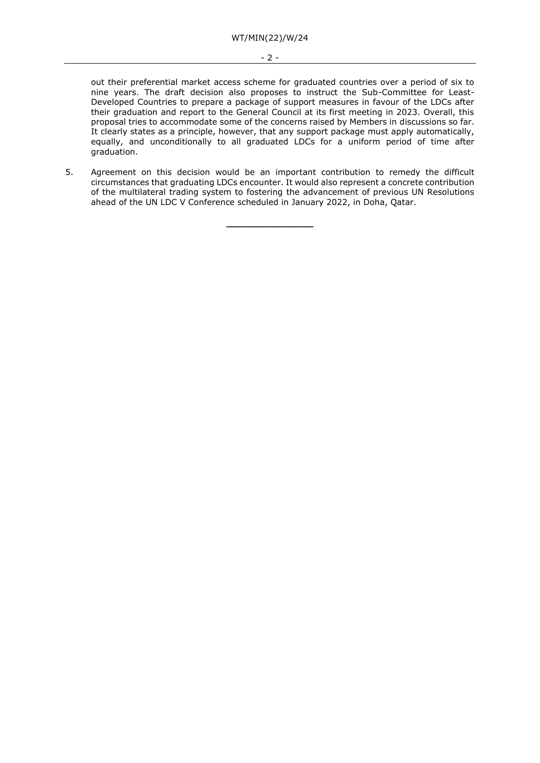#### - 2 -

out their preferential market access scheme for graduated countries over a period of six to nine years. The draft decision also proposes to instruct the Sub-Committee for Least-Developed Countries to prepare a package of support measures in favour of the LDCs after their graduation and report to the General Council at its first meeting in 2023. Overall, this proposal tries to accommodate some of the concerns raised by Members in discussions so far. It clearly states as a principle, however, that any support package must apply automatically, equally, and unconditionally to all graduated LDCs for a uniform period of time after graduation.

5. Agreement on this decision would be an important contribution to remedy the difficult circumstances that graduating LDCs encounter. It would also represent a concrete contribution of the multilateral trading system to fostering the advancement of previous UN Resolutions ahead of the UN LDC V Conference scheduled in January 2022, in Doha, Qatar.

**\_\_\_\_\_\_\_\_\_\_\_\_\_\_\_**